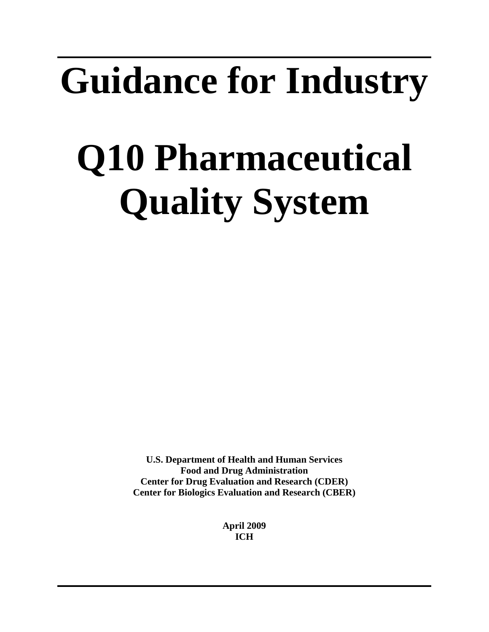## **Guidance for Industry**

# **Q10 Pharmaceutical Quality System**

**U.S. Department of Health and Human Services Food and Drug Administration Center for Drug Evaluation and Research (CDER) Center for Biologics Evaluation and Research (CBER)** 

> **April 2009 ICH**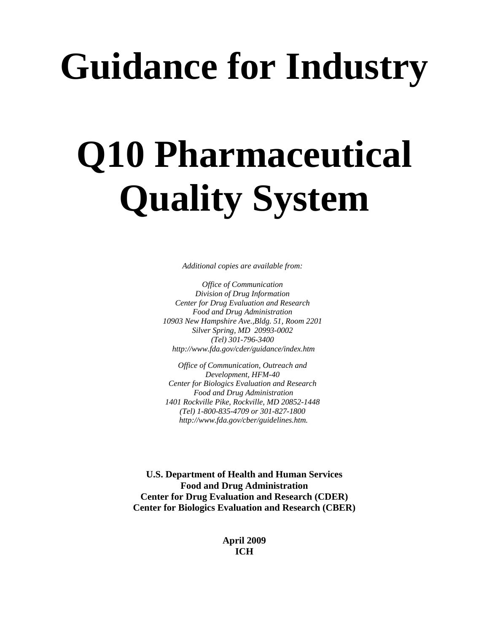## **Guidance for Industry**

# **Q10 Pharmaceutical Quality System**

*Additional copies are available from:* 

 *10903 New Hampshire Ave.,Bldg. 51, Room 2201 Silver Spring, MD 20993-0002 Office of Communication Division of Drug Information Center for Drug Evaluation and Research Food and Drug Administration (Tel) 301-796-3400 http://www.fda.gov/cder/guidance/index.htm* 

*Office of Communication, Outreach and Development, HFM-40 Center for Biologics Evaluation and Research Food and Drug Administration 1401 Rockville Pike, Rockville, MD 20852-1448 (Tel) 1-800-835-4709 or 301-827-1800 http://www.fda.gov/cber/guidelines.htm.* 

**U.S. Department of Health and Human Services Food and Drug Administration Center for Drug Evaluation and Research (CDER) Center for Biologics Evaluation and Research (CBER)** 

> **April 2009 ICH**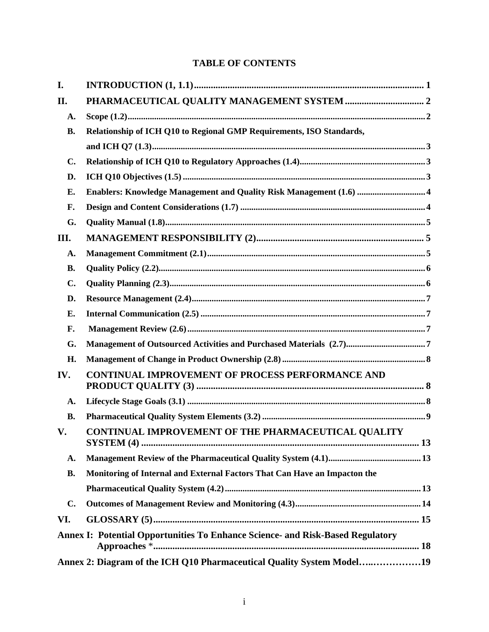## **TABLE OF CONTENTS**

| I.            |                                                                                |
|---------------|--------------------------------------------------------------------------------|
| II.           |                                                                                |
| A.            |                                                                                |
| <b>B.</b>     | Relationship of ICH Q10 to Regional GMP Requirements, ISO Standards,           |
|               |                                                                                |
| $C_{\bullet}$ |                                                                                |
| D.            |                                                                                |
| E.            | Enablers: Knowledge Management and Quality Risk Management (1.6)  4            |
| F.            |                                                                                |
| G.            |                                                                                |
| III.          |                                                                                |
| A.            |                                                                                |
| <b>B.</b>     |                                                                                |
| C.            |                                                                                |
| D.            |                                                                                |
| Е.            |                                                                                |
| F.            |                                                                                |
| G.            |                                                                                |
| H.            |                                                                                |
| IV.           | <b>CONTINUAL IMPROVEMENT OF PROCESS PERFORMANCE AND</b>                        |
| A.            |                                                                                |
| <b>B.</b>     |                                                                                |
| V.            | <b>CONTINUAL IMPROVEMENT OF THE PHARMACEUTICAL QUALITY</b>                     |
| A.            |                                                                                |
| <b>B.</b>     | Monitoring of Internal and External Factors That Can Have an Impacton the      |
|               |                                                                                |
| $C_{\bullet}$ |                                                                                |
| VI.           |                                                                                |
|               | Annex I: Potential Opportunities To Enhance Science- and Risk-Based Regulatory |
|               | Annex 2: Diagram of the ICH Q10 Pharmaceutical Quality System Model19          |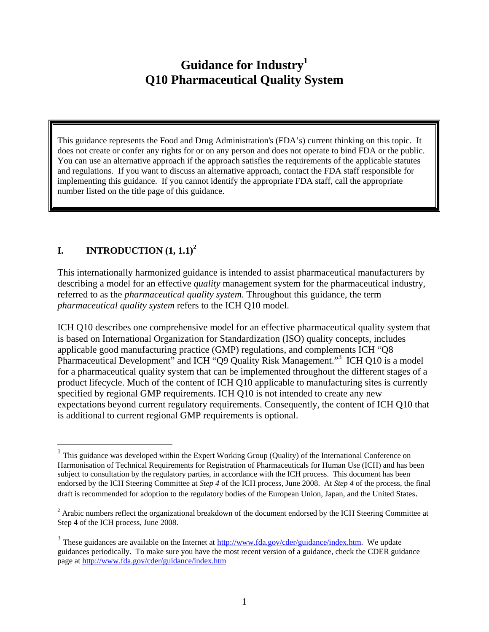## **Guidance for Industry1 Q10 Pharmaceutical Quality System**

<span id="page-3-0"></span>This guidance represents the Food and Drug Administration's (FDA's) current thinking on this topic. It does not create or confer any rights for or on any person and does not operate to bind FDA or the public. You can use an alternative approach if the approach satisfies the requirements of the applicable statutes and regulations. If you want to discuss an alternative approach, contact the FDA staff responsible for implementing this guidance. If you cannot identify the appropriate FDA staff, call the appropriate number listed on the title page of this guidance.

## **I.** INTRODUCTION  $(1, 1.1)^2$

 $\overline{a}$ 

This internationally harmonized guidance is intended to assist pharmaceutical manufacturers by describing a model for an effective *quality* management system for the pharmaceutical industry, referred to as the *pharmaceutical quality system*. Throughout this guidance, the term *pharmaceutical quality system* refers to the ICH Q10 model.

ICH Q10 describes one comprehensive model for an effective pharmaceutical quality system that is based on International Organization for Standardization (ISO) quality concepts, includes applicable good manufacturing practice (GMP) regulations, and complements ICH "Q8 Pharmaceutical Development" and ICH "Q9 Quality Risk Management."<sup>3</sup> ICH Q10 is a model for a pharmaceutical quality system that can be implemented throughout the different stages of a product lifecycle. Much of the content of ICH Q10 applicable to manufacturing sites is currently specified by regional GMP requirements. ICH Q10 is not intended to create any new expectations beyond current regulatory requirements. Consequently, the content of ICH Q10 that is additional to current regional GMP requirements is optional.

 subject to consultation by the regulatory parties, in accordance with the ICH process. This document has been endorsed by the ICH Steering Committee at *Step 4* of the ICH process, June 2008. At *Step 4* of the process, the final  $1$  This guidance was developed within the Expert Working Group (Quality) of the International Conference on Harmonisation of Technical Requirements for Registration of Pharmaceuticals for Human Use (ICH) and has been draft is recommended for adoption to the regulatory bodies of the European Union, Japan, and the United States.

 $2^2$  Arabic numbers reflect the organizational breakdown of the document endorsed by the ICH Steering Committee at Step 4 of the ICH process, June 2008.

 guidances periodically. To make sure you have the most recent version of a guidance, check the CDER guidance  $3$  These guidances are available on the Internet at  $\frac{http://www.fda.gov/eder/guidance/index.htm}{http://www.fda.gov/eder/guidance/index.htm}$ . We update page at http://www.fda.gov/cder/guidance/index.htm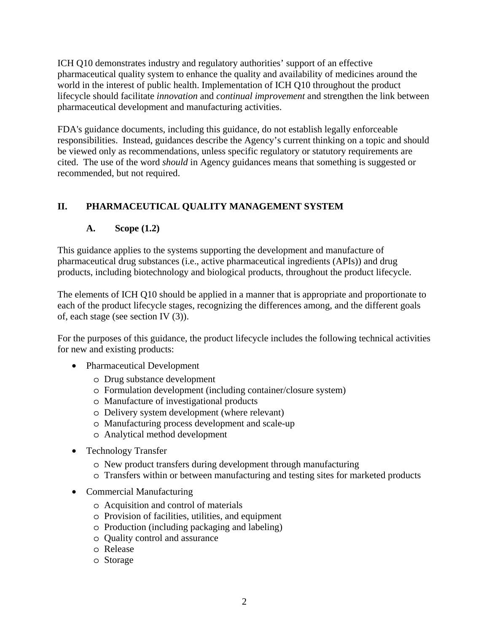<span id="page-4-0"></span>ICH Q10 demonstrates industry and regulatory authorities' support of an effective pharmaceutical quality system to enhance the quality and availability of medicines around the world in the interest of public health. Implementation of ICH Q10 throughout the product lifecycle should facilitate *innovation* and *continual improvement* and strengthen the link between pharmaceutical development and manufacturing activities.

FDA's guidance documents, including this guidance, do not establish legally enforceable responsibilities. Instead, guidances describe the Agency's current thinking on a topic and should be viewed only as recommendations, unless specific regulatory or statutory requirements are cited. The use of the word *should* in Agency guidances means that something is suggested or recommended, but not required.

## **II. PHARMACEUTICAL QUALITY MANAGEMENT SYSTEM**

## **A. Scope (1.2)**

This guidance applies to the systems supporting the development and manufacture of pharmaceutical drug substances (i.e., active pharmaceutical ingredients (APIs)) and drug products, including biotechnology and biological products, throughout the product lifecycle.

The elements of ICH Q10 should be applied in a manner that is appropriate and proportionate to each of the product lifecycle stages, recognizing the differences among, and the different goals of, each stage (see section IV (3)).

For the purposes of this guidance, the product lifecycle includes the following technical activities for new and existing products:

- Pharmaceutical Development
	- o Drug substance development
	- o Formulation development (including container/closure system)
	- o Manufacture of investigational products
	- o Delivery system development (where relevant)
	- o Manufacturing process development and scale-up
	- o Analytical method development
- Technology Transfer
	- o New product transfers during development through manufacturing
	- o Transfers within or between manufacturing and testing sites for marketed products
- Commercial Manufacturing
	- o Acquisition and control of materials
	- o Provision of facilities, utilities, and equipment
	- o Production (including packaging and labeling)
	- o Quality control and assurance
	- o Release
	- o Storage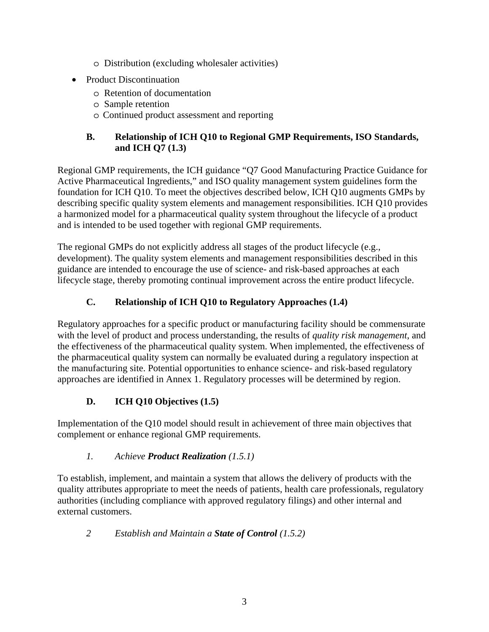- o Distribution (excluding wholesaler activities)
- <span id="page-5-0"></span>• Product Discontinuation
	- o Retention of documentation
	- o Sample retention
	- o Continued product assessment and reporting

## **B. Relationship of ICH Q10 to Regional GMP Requirements, ISO Standards, and ICH Q7 (1.3)**

Regional GMP requirements, the ICH guidance "Q7 Good Manufacturing Practice Guidance for Active Pharmaceutical Ingredients," and ISO quality management system guidelines form the foundation for ICH Q10. To meet the objectives described below, ICH Q10 augments GMPs by describing specific quality system elements and management responsibilities. ICH Q10 provides a harmonized model for a pharmaceutical quality system throughout the lifecycle of a product and is intended to be used together with regional GMP requirements.

The regional GMPs do not explicitly address all stages of the product lifecycle (e.g., development). The quality system elements and management responsibilities described in this guidance are intended to encourage the use of science- and risk-based approaches at each lifecycle stage, thereby promoting continual improvement across the entire product lifecycle.

## **C. Relationship of ICH Q10 to Regulatory Approaches (1.4)**

Regulatory approaches for a specific product or manufacturing facility should be commensurate with the level of product and process understanding, the results of *quality risk management*, and the effectiveness of the pharmaceutical quality system. When implemented, the effectiveness of the pharmaceutical quality system can normally be evaluated during a regulatory inspection at the manufacturing site. Potential opportunities to enhance science- and risk-based regulatory approaches are identified in Annex 1. Regulatory processes will be determined by region.

## **D. ICH Q10 Objectives (1.5)**

Implementation of the Q10 model should result in achievement of three main objectives that complement or enhance regional GMP requirements.

## *1. Achieve Product Realization (1.5.1)*

To establish, implement, and maintain a system that allows the delivery of products with the quality attributes appropriate to meet the needs of patients, health care professionals, regulatory authorities (including compliance with approved regulatory filings) and other internal and external customers.

## *2 Establish and Maintain a State of Control (1.5.2)*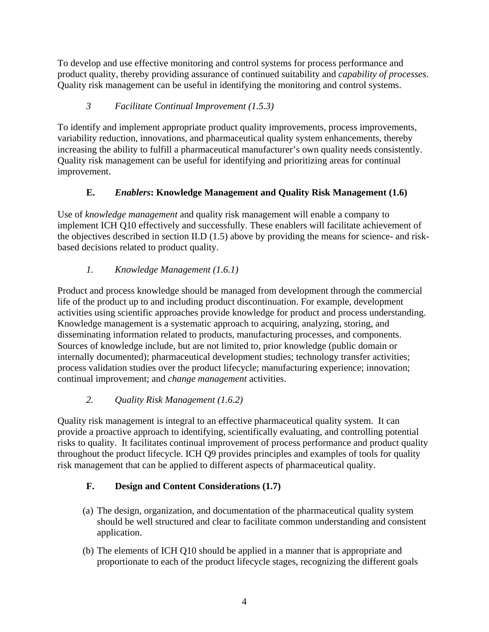<span id="page-6-0"></span>To develop and use effective monitoring and control systems for process performance and product quality, thereby providing assurance of continued suitability and *capability of processes*. Quality risk management can be useful in identifying the monitoring and control systems.

## *3 Facilitate Continual Improvement (1.5.3)*

To identify and implement appropriate product quality improvements, process improvements, variability reduction, innovations, and pharmaceutical quality system enhancements, thereby increasing the ability to fulfill a pharmaceutical manufacturer's own quality needs consistently. Quality risk management can be useful for identifying and prioritizing areas for continual improvement.

## **E.** *Enablers***: Knowledge Management and Quality Risk Management (1.6)**

Use of *knowledge management* and quality risk management will enable a company to implement ICH Q10 effectively and successfully. These enablers will facilitate achievement of the objectives described in section II.D (1.5) above by providing the means for science- and riskbased decisions related to product quality.

## *1. Knowledge Management (1.6.1)*

Product and process knowledge should be managed from development through the commercial life of the product up to and including product discontinuation. For example, development activities using scientific approaches provide knowledge for product and process understanding. Knowledge management is a systematic approach to acquiring, analyzing, storing, and disseminating information related to products, manufacturing processes, and components. Sources of knowledge include, but are not limited to, prior knowledge (public domain or internally documented); pharmaceutical development studies; technology transfer activities; process validation studies over the product lifecycle; manufacturing experience; innovation; continual improvement; and *change management* activities.

## *2. Quality Risk Management (1.6.2)*

Quality risk management is integral to an effective pharmaceutical quality system. It can provide a proactive approach to identifying, scientifically evaluating, and controlling potential risks to quality. It facilitates continual improvement of process performance and product quality throughout the product lifecycle. ICH Q9 provides principles and examples of tools for quality risk management that can be applied to different aspects of pharmaceutical quality.

## **F. Design and Content Considerations (1.7)**

- (a) The design, organization, and documentation of the pharmaceutical quality system should be well structured and clear to facilitate common understanding and consistent application.
- (b) The elements of ICH Q10 should be applied in a manner that is appropriate and proportionate to each of the product lifecycle stages, recognizing the different goals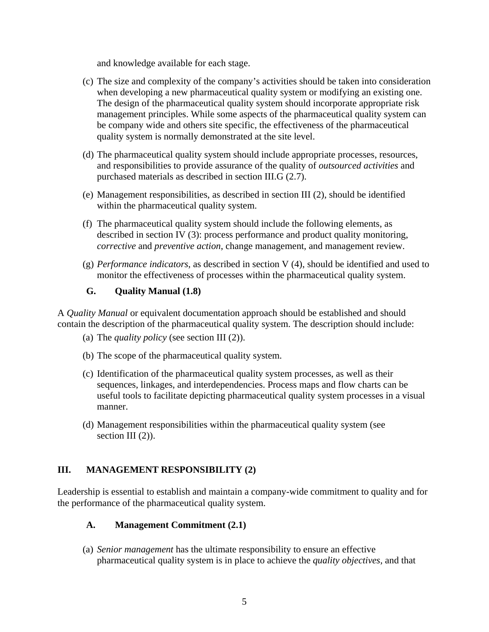and knowledge available for each stage.

- <span id="page-7-0"></span>(c) The size and complexity of the company's activities should be taken into consideration when developing a new pharmaceutical quality system or modifying an existing one. The design of the pharmaceutical quality system should incorporate appropriate risk management principles. While some aspects of the pharmaceutical quality system can be company wide and others site specific, the effectiveness of the pharmaceutical quality system is normally demonstrated at the site level.
- (d) The pharmaceutical quality system should include appropriate processes, resources, and responsibilities to provide assurance of the quality of *outsourced activities* and purchased materials as described in section III.G (2.7).
- (e) Management responsibilities, as described in section III (2), should be identified within the pharmaceutical quality system.
- (f) The pharmaceutical quality system should include the following elements, as described in section IV (3): process performance and product quality monitoring, *corrective* and *preventive action*, change management, and management review.
- (g) *Performance indicators*, as described in section V (4), should be identified and used to monitor the effectiveness of processes within the pharmaceutical quality system.

#### **G. Quality Manual (1.8)**

A *Quality Manual* or equivalent documentation approach should be established and should contain the description of the pharmaceutical quality system. The description should include:

- (a) The *quality policy* (see section III (2)).
- (b) The scope of the pharmaceutical quality system.
- (c) Identification of the pharmaceutical quality system processes, as well as their sequences, linkages, and interdependencies. Process maps and flow charts can be useful tools to facilitate depicting pharmaceutical quality system processes in a visual manner.
- (d) Management responsibilities within the pharmaceutical quality system (see section III (2)).

## **III. MANAGEMENT RESPONSIBILITY (2)**

Leadership is essential to establish and maintain a company-wide commitment to quality and for the performance of the pharmaceutical quality system.

#### **A. Management Commitment (2.1)**

(a) *Senior management* has the ultimate responsibility to ensure an effective pharmaceutical quality system is in place to achieve the *quality objectives,* and that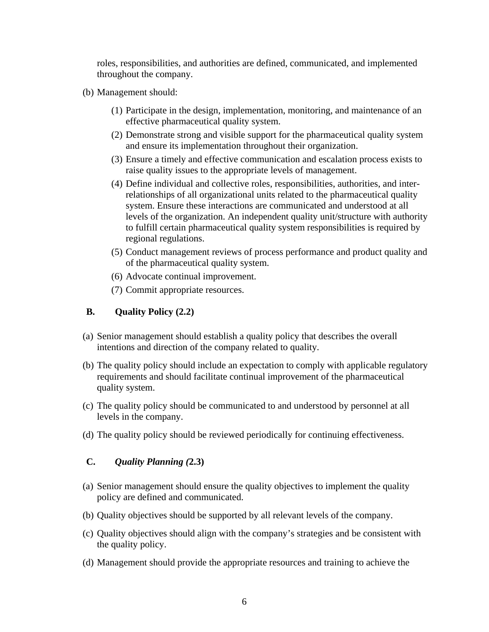<span id="page-8-0"></span>roles, responsibilities, and authorities are defined, communicated, and implemented throughout the company.

- (b) Management should:
	- (1) Participate in the design, implementation, monitoring, and maintenance of an effective pharmaceutical quality system.
	- (2) Demonstrate strong and visible support for the pharmaceutical quality system and ensure its implementation throughout their organization.
	- (3) Ensure a timely and effective communication and escalation process exists to raise quality issues to the appropriate levels of management.
	- (4) Define individual and collective roles, responsibilities, authorities, and interrelationships of all organizational units related to the pharmaceutical quality system. Ensure these interactions are communicated and understood at all levels of the organization. An independent quality unit/structure with authority to fulfill certain pharmaceutical quality system responsibilities is required by regional regulations.
	- (5) Conduct management reviews of process performance and product quality and of the pharmaceutical quality system.
	- (6) Advocate continual improvement.
	- (7) Commit appropriate resources.

#### **B. Quality Policy (2.2)**

- (a) Senior management should establish a quality policy that describes the overall intentions and direction of the company related to quality.
- (b) The quality policy should include an expectation to comply with applicable regulatory requirements and should facilitate continual improvement of the pharmaceutical quality system.
- (c) The quality policy should be communicated to and understood by personnel at all levels in the company.
- (d) The quality policy should be reviewed periodically for continuing effectiveness.

#### **C.** *Quality Planning (***2.3)**

- (a) Senior management should ensure the quality objectives to implement the quality policy are defined and communicated.
- (b) Quality objectives should be supported by all relevant levels of the company.
- (c) Quality objectives should align with the company's strategies and be consistent with the quality policy.
- (d) Management should provide the appropriate resources and training to achieve the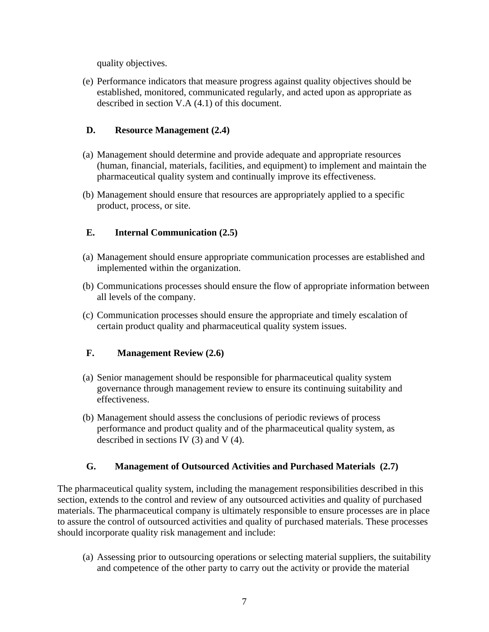<span id="page-9-0"></span>quality objectives.

(e) Performance indicators that measure progress against quality objectives should be established, monitored, communicated regularly, and acted upon as appropriate as described in section V.A (4.1) of this document.

#### **D. Resource Management (2.4)**

- pharmaceutical quality system and continually improve its effectiveness. (a) Management should determine and provide adequate and appropriate resources (human, financial, materials, facilities, and equipment) to implement and maintain the
- pharmaceutical quality system and continually improve its effectiveness. (b) Management should ensure that resources are appropriately applied to a specific product, process, or site.

#### **E. Internal Communication (2.5)**

- implemented within the organization. (a) Management should ensure appropriate communication processes are established and
- (b) Communications processes should ensure the flow of appropriate information between all levels of the company.
- (c) Communication processes should ensure the appropriate and timely escalation of certain product quality and pharmaceutical quality system issues.

#### **F. Management Review (2.6)**

- (a) Senior management should be responsible for pharmaceutical quality system governance through management review to ensure its continuing suitability and effectiveness.
- (b) Management should assess the conclusions of periodic reviews of process performance and product quality and of the pharmaceutical quality system, as described in sections IV (3) and V (4).

#### **G. Management of Outsourced Activities and Purchased Materials (2.7)**

The pharmaceutical quality system, including the management responsibilities described in this section, extends to the control and review of any outsourced activities and quality of purchased materials. The pharmaceutical company is ultimately responsible to ensure processes are in place to assure the control of outsourced activities and quality of purchased materials. These processes should incorporate quality risk management and include:

(a) Assessing prior to outsourcing operations or selecting material suppliers, the suitability and competence of the other party to carry out the activity or provide the material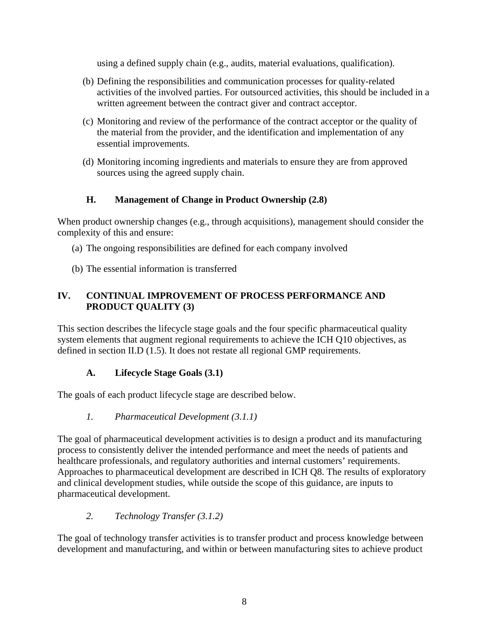using a defined supply chain (e.g., audits, material evaluations, qualification).

- <span id="page-10-0"></span>(b) Defining the responsibilities and communication processes for quality-related activities of the involved parties. For outsourced activities, this should be included in a written agreement between the contract giver and contract acceptor.
- (c) Monitoring and review of the performance of the contract acceptor or the quality of the material from the provider, and the identification and implementation of any essential improvements.
- (d) Monitoring incoming ingredients and materials to ensure they are from approved sources using the agreed supply chain.

#### **H. Management of Change in Product Ownership (2.8)**

When product ownership changes (e.g., through acquisitions), management should consider the complexity of this and ensure:

- (a) The ongoing responsibilities are defined for each company involved
- (b) The essential information is transferred

#### **IV. CONTINUAL IMPROVEMENT OF PROCESS PERFORMANCE AND PRODUCT QUALITY (3)**

This section describes the lifecycle stage goals and the four specific pharmaceutical quality system elements that augment regional requirements to achieve the ICH Q10 objectives, as defined in section II.D (1.5). It does not restate all regional GMP requirements.

## **A. Lifecycle Stage Goals (3.1)**

The goals of each product lifecycle stage are described below.

## *1. Pharmaceutical Development (3.1.1)*

The goal of pharmaceutical development activities is to design a product and its manufacturing process to consistently deliver the intended performance and meet the needs of patients and healthcare professionals, and regulatory authorities and internal customers' requirements. Approaches to pharmaceutical development are described in ICH Q8. The results of exploratory and clinical development studies, while outside the scope of this guidance, are inputs to pharmaceutical development.

*2. Technology Transfer (3.1.2)* 

The goal of technology transfer activities is to transfer product and process knowledge between development and manufacturing, and within or between manufacturing sites to achieve product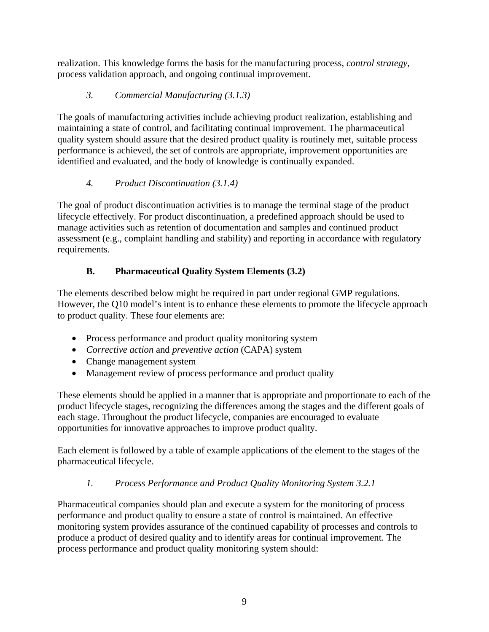<span id="page-11-0"></span>realization. This knowledge forms the basis for the manufacturing process, *control strategy*, process validation approach, and ongoing continual improvement.

## *3. Commercial Manufacturing (3.1.3)*

The goals of manufacturing activities include achieving product realization, establishing and maintaining a state of control, and facilitating continual improvement. The pharmaceutical quality system should assure that the desired product quality is routinely met, suitable process performance is achieved, the set of controls are appropriate, improvement opportunities are identified and evaluated, and the body of knowledge is continually expanded.

## *4. Product Discontinuation (3.1.4)*

The goal of product discontinuation activities is to manage the terminal stage of the product lifecycle effectively. For product discontinuation, a predefined approach should be used to manage activities such as retention of documentation and samples and continued product assessment (e.g., complaint handling and stability) and reporting in accordance with regulatory requirements.

## **B. Pharmaceutical Quality System Elements (3.2)**

The elements described below might be required in part under regional GMP regulations. However, the Q10 model's intent is to enhance these elements to promote the lifecycle approach to product quality. These four elements are:

- Process performance and product quality monitoring system
- *Corrective action* and *preventive action* (CAPA) system
- Change management system
- Management review of process performance and product quality

These elements should be applied in a manner that is appropriate and proportionate to each of the product lifecycle stages, recognizing the differences among the stages and the different goals of each stage. Throughout the product lifecycle, companies are encouraged to evaluate opportunities for innovative approaches to improve product quality.

Each element is followed by a table of example applications of the element to the stages of the pharmaceutical lifecycle.

## *1. Process Performance and Product Quality Monitoring System 3.2.1*

Pharmaceutical companies should plan and execute a system for the monitoring of process performance and product quality to ensure a state of control is maintained. An effective monitoring system provides assurance of the continued capability of processes and controls to produce a product of desired quality and to identify areas for continual improvement. The process performance and product quality monitoring system should: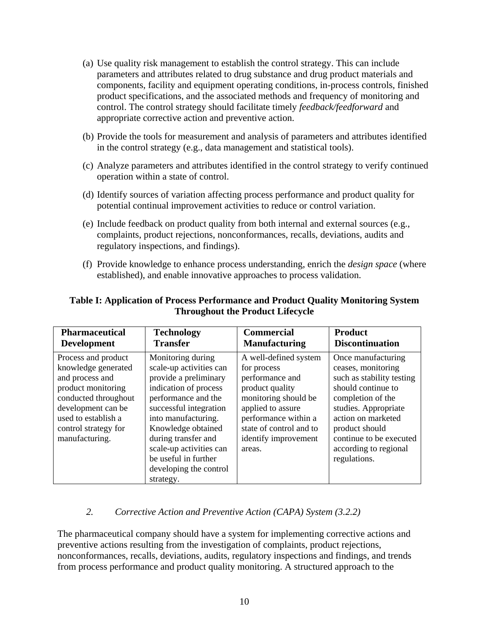- (a) Use quality risk management to establish the control strategy. This can include parameters and attributes related to drug substance and drug product materials and components, facility and equipment operating conditions, in-process controls, finished product specifications, and the associated methods and frequency of monitoring and control. The control strategy should facilitate timely *feedback/feedforward* and appropriate corrective action and preventive action.
- (b) Provide the tools for measurement and analysis of parameters and attributes identified in the control strategy (e.g., data management and statistical tools).
- (c) Analyze parameters and attributes identified in the control strategy to verify continued operation within a state of control.
- (d) Identify sources of variation affecting process performance and product quality for potential continual improvement activities to reduce or control variation.
- (e) Include feedback on product quality from both internal and external sources (e.g., complaints, product rejections, nonconformances, recalls, deviations, audits and regulatory inspections, and findings).
- (f) Provide knowledge to enhance process understanding, enrich the *design space* (where established), and enable innovative approaches to process validation.

#### **Table I: Application of Process Performance and Product Quality Monitoring System Throughout the Product Lifecycle**

| <b>Pharmaceutical</b>                                                                                                                                                                              | <b>Technology</b>                                                                                                                                                                                                                                                                                             | <b>Commercial</b>                                                                                                                                                                                            | <b>Product</b>                                                                                                                                                                                                                                       |
|----------------------------------------------------------------------------------------------------------------------------------------------------------------------------------------------------|---------------------------------------------------------------------------------------------------------------------------------------------------------------------------------------------------------------------------------------------------------------------------------------------------------------|--------------------------------------------------------------------------------------------------------------------------------------------------------------------------------------------------------------|------------------------------------------------------------------------------------------------------------------------------------------------------------------------------------------------------------------------------------------------------|
| <b>Development</b>                                                                                                                                                                                 | <b>Transfer</b>                                                                                                                                                                                                                                                                                               | <b>Manufacturing</b>                                                                                                                                                                                         | <b>Discontinuation</b>                                                                                                                                                                                                                               |
| Process and product<br>knowledge generated<br>and process and<br>product monitoring<br>conducted throughout<br>development can be<br>used to establish a<br>control strategy for<br>manufacturing. | Monitoring during<br>scale-up activities can<br>provide a preliminary<br>indication of process<br>performance and the<br>successful integration<br>into manufacturing.<br>Knowledge obtained<br>during transfer and<br>scale-up activities can<br>be useful in further<br>developing the control<br>strategy. | A well-defined system<br>for process<br>performance and<br>product quality<br>monitoring should be<br>applied to assure<br>performance within a<br>state of control and to<br>identify improvement<br>areas. | Once manufacturing<br>ceases, monitoring<br>such as stability testing<br>should continue to<br>completion of the<br>studies. Appropriate<br>action on marketed<br>product should<br>continue to be executed<br>according to regional<br>regulations. |

## *2. Corrective Action and Preventive Action (CAPA) System (3.2.2)*

The pharmaceutical company should have a system for implementing corrective actions and preventive actions resulting from the investigation of complaints, product rejections, nonconformances, recalls, deviations, audits, regulatory inspections and findings, and trends from process performance and product quality monitoring. A structured approach to the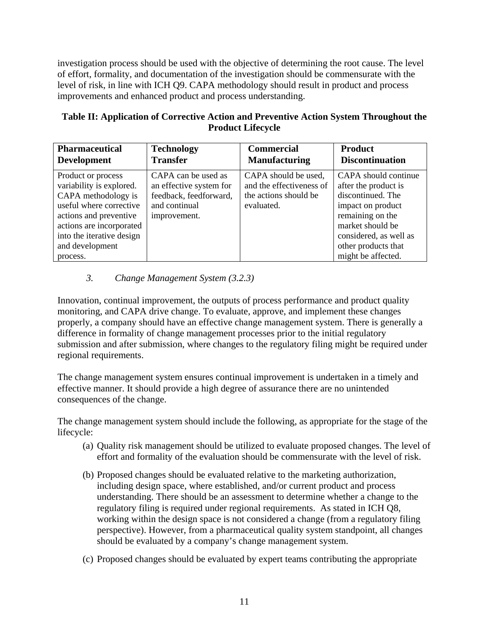investigation process should be used with the objective of determining the root cause. The level of effort, formality, and documentation of the investigation should be commensurate with the level of risk, in line with ICH Q9. CAPA methodology should result in product and process improvements and enhanced product and process understanding.

| Table II: Application of Corrective Action and Preventive Action System Throughout the |  |
|----------------------------------------------------------------------------------------|--|
| <b>Product Lifecycle</b>                                                               |  |

| <b>Pharmaceutical</b>                                                                                                                                                                                              | <b>Technology</b>                                                                                         | <b>Commercial</b>                                                                       | <b>Product</b>                                                                                                                                                                                        |
|--------------------------------------------------------------------------------------------------------------------------------------------------------------------------------------------------------------------|-----------------------------------------------------------------------------------------------------------|-----------------------------------------------------------------------------------------|-------------------------------------------------------------------------------------------------------------------------------------------------------------------------------------------------------|
| <b>Development</b>                                                                                                                                                                                                 | <b>Transfer</b>                                                                                           | <b>Manufacturing</b>                                                                    | <b>Discontinuation</b>                                                                                                                                                                                |
| Product or process<br>variability is explored.<br>CAPA methodology is<br>useful where corrective<br>actions and preventive<br>actions are incorporated<br>into the iterative design<br>and development<br>process. | CAPA can be used as<br>an effective system for<br>feedback, feedforward,<br>and continual<br>improvement. | CAPA should be used,<br>and the effectiveness of<br>the actions should be<br>evaluated. | CAPA should continue<br>after the product is<br>discontinued. The<br>impact on product<br>remaining on the<br>market should be<br>considered, as well as<br>other products that<br>might be affected. |

#### *3. Change Management System (3.2.3)*

Innovation, continual improvement, the outputs of process performance and product quality monitoring, and CAPA drive change. To evaluate, approve, and implement these changes properly, a company should have an effective change management system. There is generally a difference in formality of change management processes prior to the initial regulatory submission and after submission, where changes to the regulatory filing might be required under regional requirements.

The change management system ensures continual improvement is undertaken in a timely and effective manner. It should provide a high degree of assurance there are no unintended consequences of the change.

The change management system should include the following, as appropriate for the stage of the lifecycle:

- (a) Quality risk management should be utilized to evaluate proposed changes. The level of effort and formality of the evaluation should be commensurate with the level of risk.
- (b) Proposed changes should be evaluated relative to the marketing authorization, including design space, where established, and/or current product and process understanding. There should be an assessment to determine whether a change to the regulatory filing is required under regional requirements. As stated in ICH Q8, working within the design space is not considered a change (from a regulatory filing perspective). However, from a pharmaceutical quality system standpoint, all changes should be evaluated by a company's change management system.
- (c) Proposed changes should be evaluated by expert teams contributing the appropriate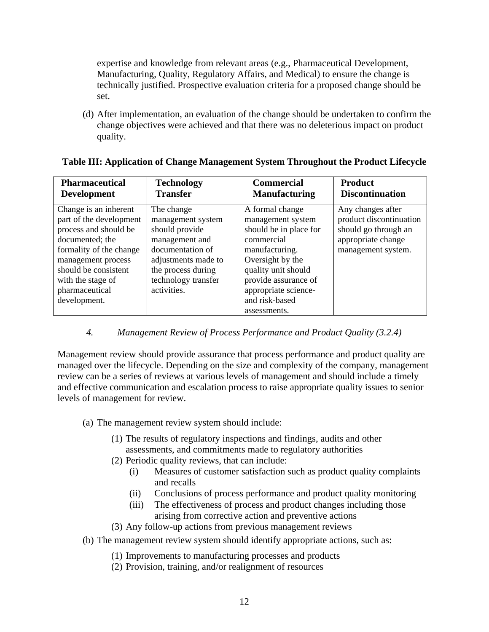expertise and knowledge from relevant areas (e.g., Pharmaceutical Development, Manufacturing, Quality, Regulatory Affairs, and Medical) to ensure the change is technically justified. Prospective evaluation criteria for a proposed change should be set.

(d) After implementation, an evaluation of the change should be undertaken to confirm the change objectives were achieved and that there was no deleterious impact on product quality.

| <b>Pharmaceutical</b>                                                                                                                                                                                                        | <b>Technology</b>                                                                                                                                                          | <b>Commercial</b>                                                                                                                                                                                           | <b>Product</b>                                                                                                   |
|------------------------------------------------------------------------------------------------------------------------------------------------------------------------------------------------------------------------------|----------------------------------------------------------------------------------------------------------------------------------------------------------------------------|-------------------------------------------------------------------------------------------------------------------------------------------------------------------------------------------------------------|------------------------------------------------------------------------------------------------------------------|
| <b>Development</b>                                                                                                                                                                                                           | <b>Transfer</b>                                                                                                                                                            | <b>Manufacturing</b>                                                                                                                                                                                        | <b>Discontinuation</b>                                                                                           |
| Change is an inherent<br>part of the development<br>process and should be<br>documented; the<br>formality of the change<br>management process<br>should be consistent<br>with the stage of<br>pharmaceutical<br>development. | The change<br>management system<br>should provide<br>management and<br>documentation of<br>adjustments made to<br>the process during<br>technology transfer<br>activities. | A formal change<br>management system<br>should be in place for<br>commercial<br>manufacturing.<br>Oversight by the<br>quality unit should<br>provide assurance of<br>appropriate science-<br>and risk-based | Any changes after<br>product discontinuation<br>should go through an<br>appropriate change<br>management system. |
|                                                                                                                                                                                                                              |                                                                                                                                                                            | assessments.                                                                                                                                                                                                |                                                                                                                  |

#### **Table III: Application of Change Management System Throughout the Product Lifecycle**

#### *4. Management Review of Process Performance and Product Quality (3.2.4)*

Management review should provide assurance that process performance and product quality are managed over the lifecycle. Depending on the size and complexity of the company, management review can be a series of reviews at various levels of management and should include a timely and effective communication and escalation process to raise appropriate quality issues to senior levels of management for review.

- (a) The management review system should include:
	- (1) The results of regulatory inspections and findings, audits and other assessments, and commitments made to regulatory authorities
	- (2) Periodic quality reviews, that can include:
		- (i) Measures of customer satisfaction such as product quality complaints and recalls
		- (ii) Conclusions of process performance and product quality monitoring
		- (iii) The effectiveness of process and product changes including those arising from corrective action and preventive actions
	- (3) Any follow-up actions from previous management reviews
- (b) The management review system should identify appropriate actions, such as:
	- (1) Improvements to manufacturing processes and products
	- (2) Provision, training, and/or realignment of resources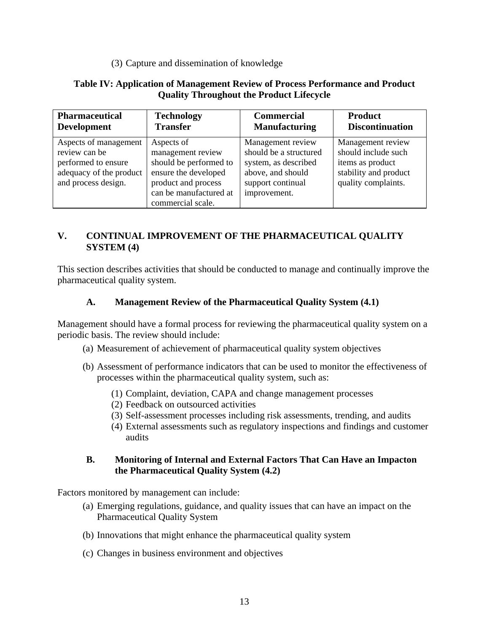(3) Capture and dissemination of knowledge

#### **Table IV: Application of Management Review of Process Performance and Product Quality Throughout the Product Lifecycle**

| <b>Pharmaceutical</b>                                                                                           | <b>Technology</b>                                                                                                                                       | <b>Commercial</b>                                                                                                             | <b>Product</b>                                                                                               |
|-----------------------------------------------------------------------------------------------------------------|---------------------------------------------------------------------------------------------------------------------------------------------------------|-------------------------------------------------------------------------------------------------------------------------------|--------------------------------------------------------------------------------------------------------------|
| <b>Development</b>                                                                                              | <b>Transfer</b>                                                                                                                                         | <b>Manufacturing</b>                                                                                                          | <b>Discontinuation</b>                                                                                       |
| Aspects of management<br>review can be<br>performed to ensure<br>adequacy of the product<br>and process design. | Aspects of<br>management review<br>should be performed to<br>ensure the developed<br>product and process<br>can be manufactured at<br>commercial scale. | Management review<br>should be a structured<br>system, as described<br>above, and should<br>support continual<br>improvement. | Management review<br>should include such<br>items as product<br>stability and product<br>quality complaints. |

#### **V. CONTINUAL IMPROVEMENT OF THE PHARMACEUTICAL QUALITY SYSTEM (4)**

This section describes activities that should be conducted to manage and continually improve the pharmaceutical quality system.

#### **A. Management Review of the Pharmaceutical Quality System (4.1)**

Management should have a formal process for reviewing the pharmaceutical quality system on a periodic basis. The review should include:

- (a) Measurement of achievement of pharmaceutical quality system objectives
- (b) Assessment of performance indicators that can be used to monitor the effectiveness of processes within the pharmaceutical quality system, such as:
	- (1) Complaint, deviation, CAPA and change management processes
	- (2) Feedback on outsourced activities
	- (3) Self-assessment processes including risk assessments, trending, and audits
	- (4) External assessments such as regulatory inspections and findings and customer audits

#### **B. Monitoring of Internal and External Factors That Can Have an Impacton the Pharmaceutical Quality System (4.2)**

Factors monitored by management can include:

- **Pharmaceutical Quality System** (a) Emerging regulations, guidance, and quality issues that can have an impact on the
- Pharmaceutical Quality System (b) Innovations that might enhance the pharmaceutical quality system (c) Changes in business environment and objectives
-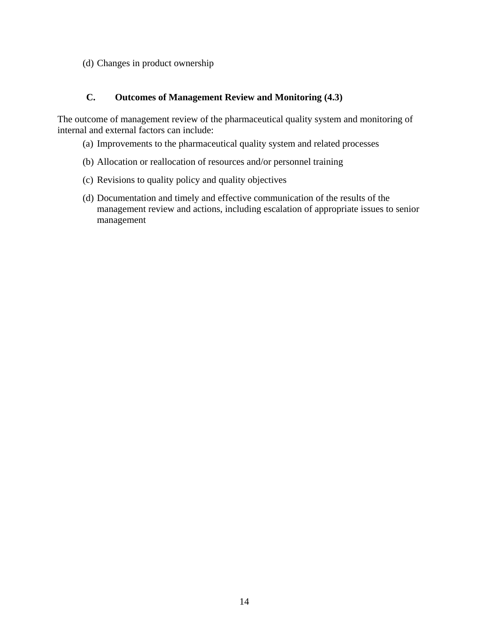<span id="page-16-0"></span>(d) Changes in product ownership

#### **C. Outcomes of Management Review and Monitoring (4.3)**

The outcome of management review of the pharmaceutical quality system and monitoring of internal and external factors can include:

- (a) Improvements to the pharmaceutical quality system and related processes
- (b) Allocation or reallocation of resources and/or personnel training
- (c) Revisions to quality policy and quality objectives
- management (d) Documentation and timely and effective communication of the results of the management review and actions, including escalation of appropriate issues to senior management 14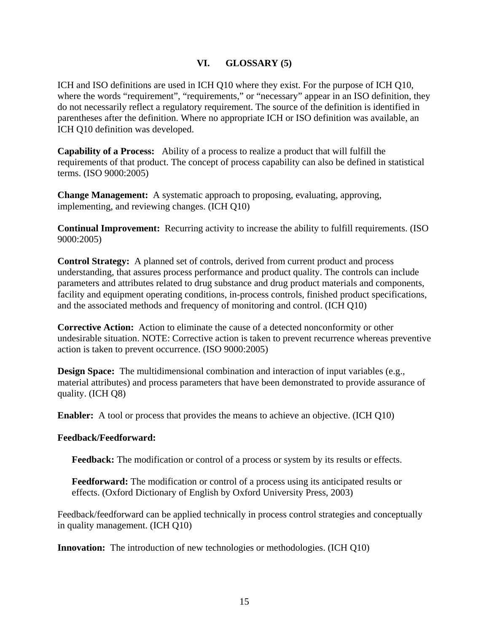#### **VI. GLOSSARY (5)**

<span id="page-17-0"></span>ICH and ISO definitions are used in ICH Q10 where they exist. For the purpose of ICH Q10, where the words "requirement", "requirements," or "necessary" appear in an ISO definition, they do not necessarily reflect a regulatory requirement. The source of the definition is identified in parentheses after the definition. Where no appropriate ICH or ISO definition was available, an ICH Q10 definition was developed.

**Capability of a Process:** Ability of a process to realize a product that will fulfill the requirements of that product. The concept of process capability can also be defined in statistical terms. (ISO 9000:2005)

**Change Management:** A systematic approach to proposing, evaluating, approving, implementing, and reviewing changes. (ICH Q10)

**Continual Improvement:** Recurring activity to increase the ability to fulfill requirements. (ISO 9000:2005)

**Control Strategy:** A planned set of controls, derived from current product and process understanding, that assures process performance and product quality. The controls can include parameters and attributes related to drug substance and drug product materials and components, facility and equipment operating conditions, in-process controls, finished product specifications, and the associated methods and frequency of monitoring and control. (ICH Q10)

**Corrective Action:** Action to eliminate the cause of a detected nonconformity or other undesirable situation. NOTE: Corrective action is taken to prevent recurrence whereas preventive action is taken to prevent occurrence. (ISO 9000:2005)

**Design Space:** The multidimensional combination and interaction of input variables (e.g., material attributes) and process parameters that have been demonstrated to provide assurance of quality. (ICH Q8)

**Enabler:** A tool or process that provides the means to achieve an objective. (ICH Q10)

#### **Feedback/Feedforward:**

**Feedback:** The modification or control of a process or system by its results or effects.

**Feedforward:** The modification or control of a process using its anticipated results or effects. (Oxford Dictionary of English by Oxford University Press, 2003)

Feedback/feedforward can be applied technically in process control strategies and conceptually in quality management. (ICH Q10)

**Innovation:** The introduction of new technologies or methodologies. (ICH Q10)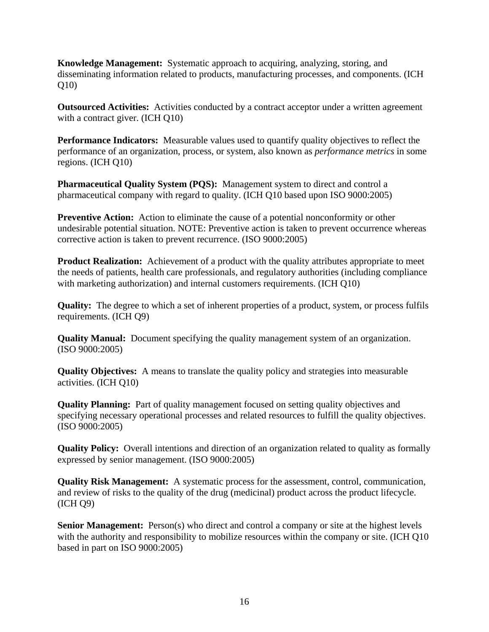**Knowledge Management:** Systematic approach to acquiring, analyzing, storing, and disseminating information related to products, manufacturing processes, and components. (ICH Q10)

**Outsourced Activities:** Activities conducted by a contract acceptor under a written agreement with a contract giver. (ICH Q10)

**Performance Indicators:** Measurable values used to quantify quality objectives to reflect the performance of an organization, process, or system, also known as *performance metrics* in some regions. (ICH Q10)

**Pharmaceutical Quality System (PQS):** Management system to direct and control a pharmaceutical company with regard to quality. (ICH Q10 based upon ISO 9000:2005)

**Preventive Action:** Action to eliminate the cause of a potential nonconformity or other undesirable potential situation. NOTE: Preventive action is taken to prevent occurrence whereas corrective action is taken to prevent recurrence. (ISO 9000:2005)

**Product Realization:** Achievement of a product with the quality attributes appropriate to meet the needs of patients, health care professionals, and regulatory authorities (including compliance with marketing authorization) and internal customers requirements. (ICH Q10)

 **Quality:** The degree to which a set of inherent properties of a product, system, or process fulfils requirements. (ICH Q9)

**Quality Manual:** Document specifying the quality management system of an organization. (ISO 9000:2005)

**Quality Objectives:** A means to translate the quality policy and strategies into measurable activities. (ICH Q10)

**Quality Planning:** Part of quality management focused on setting quality objectives and specifying necessary operational processes and related resources to fulfill the quality objectives. (ISO 9000:2005)

**Quality Policy:** Overall intentions and direction of an organization related to quality as formally expressed by senior management. (ISO 9000:2005)

**Quality Risk Management:** A systematic process for the assessment, control, communication, and review of risks to the quality of the drug (medicinal) product across the product lifecycle. (ICH Q9)

**Senior Management:** Person(s) who direct and control a company or site at the highest levels with the authority and responsibility to mobilize resources within the company or site. (ICH O10 based in part on ISO 9000:2005)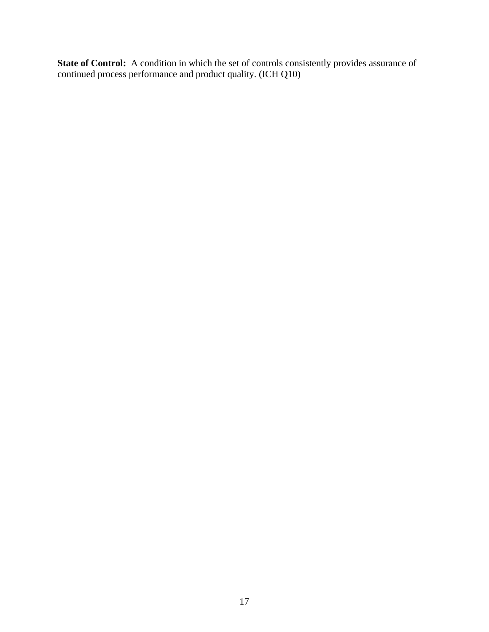State of Control: A condition in which the set of controls consistently provides assurance of continued process performance and product quality. (ICH Q10)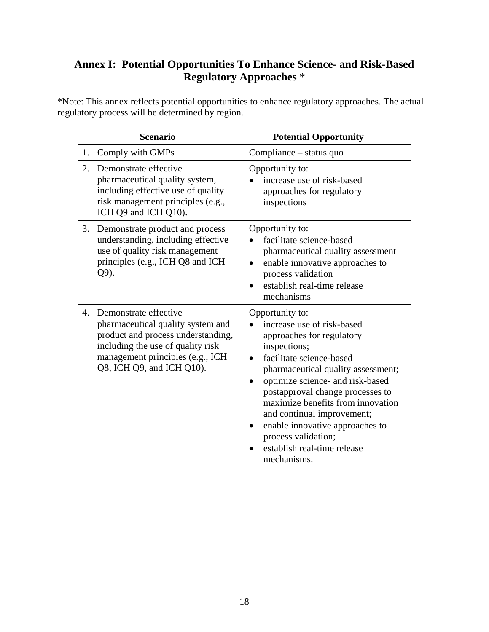## **Annex I: Potential Opportunities To Enhance Science- and Risk-Based Regulatory Approaches** \*

\*Note: This annex reflects potential opportunities to enhance regulatory approaches. The actual regulatory process will be determined by region.

| <b>Scenario</b> |                                                                                                                                                                                                        | <b>Potential Opportunity</b>                                                                                                                                                                                                                                                                                                                                                                                    |  |
|-----------------|--------------------------------------------------------------------------------------------------------------------------------------------------------------------------------------------------------|-----------------------------------------------------------------------------------------------------------------------------------------------------------------------------------------------------------------------------------------------------------------------------------------------------------------------------------------------------------------------------------------------------------------|--|
| 1.              | Comply with GMPs                                                                                                                                                                                       | Compliance – status quo                                                                                                                                                                                                                                                                                                                                                                                         |  |
| 2.              | Demonstrate effective<br>pharmaceutical quality system,<br>including effective use of quality<br>risk management principles (e.g.,<br>ICH Q9 and ICH Q10).                                             | Opportunity to:<br>increase use of risk-based<br>approaches for regulatory<br>inspections                                                                                                                                                                                                                                                                                                                       |  |
| 3.              | Demonstrate product and process<br>understanding, including effective<br>use of quality risk management<br>principles (e.g., ICH Q8 and ICH<br>Q9).                                                    | Opportunity to:<br>facilitate science-based<br>pharmaceutical quality assessment<br>enable innovative approaches to<br>$\bullet$<br>process validation<br>establish real-time release<br>mechanisms                                                                                                                                                                                                             |  |
| 4.              | Demonstrate effective<br>pharmaceutical quality system and<br>product and process understanding,<br>including the use of quality risk<br>management principles (e.g., ICH<br>Q8, ICH Q9, and ICH Q10). | Opportunity to:<br>increase use of risk-based<br>approaches for regulatory<br>inspections;<br>facilitate science-based<br>pharmaceutical quality assessment;<br>optimize science- and risk-based<br>postapproval change processes to<br>maximize benefits from innovation<br>and continual improvement;<br>enable innovative approaches to<br>process validation;<br>establish real-time release<br>mechanisms. |  |